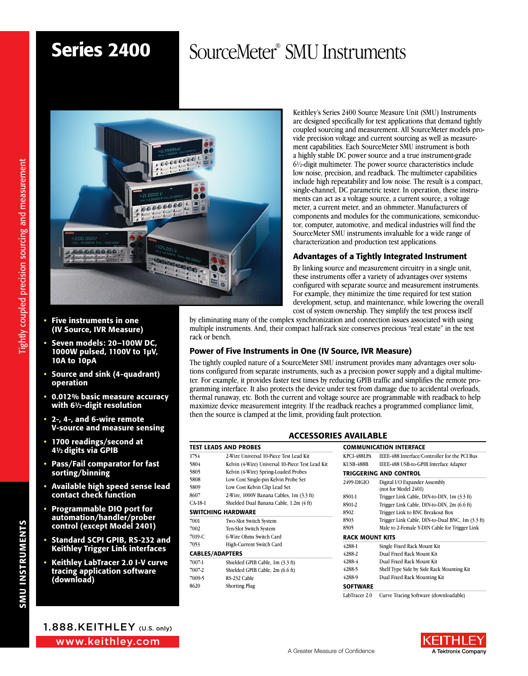# Series 2400

# SourceMeter<sup>®</sup> SMU Instruments



- Five instruments in one (IV Source, IVR Measure)
- Seven models: 20–100W DC, 1000W pulsed, 1100V to 1µV, 10A to 10pA
- Source and sink (4-quadrant) operation
- 0.012% basic measure accuracy with 6½-digit resolution
- 2-, 4-, and 6-wire remote V-source and measure sensing
- 1700 readings/second at 4½digits via GPIB
- Pass/Fail comparator for fast sorting/binning
- Available high speed sense lead contact check function
- Programmable DIO port for automation/handler/prober control (except Model 2401)
- Standard SCPI GPIB, RS-232 and Keithley Trigger Link interfaces
- Keithley LabTracer 2.0 I-V curve tracing application software (download)

Keithley's Series 2400 Source Measure Unit (SMU) Instruments are designed specifically for test applications that demand tightly coupled sourcing and measurement. All SourceMeter models provide precision voltage and current sourcing as well as measurement capabilities. Each SourceMeter SMU instrument is both a highly stable DC power source and a true instrument-grade 6½-digit multimeter. The power source characteristics include low noise, precision, and readback. The multimeter capabilities include high repeatability and low noise. The result is a compact, single-channel, DC parametric tester. In operation, these instruments can act as a voltage source, a current source, a voltage meter, a current meter, and an ohmmeter. Manufacturers of components and modules for the communications, semiconductor, computer, automotive, and medical industries will find the SourceMeter SMU instruments invaluable for a wide range of characterization and production test applications.

### Advantages of a Tightly Integrated Instrument

By linking source and measurement circuitry in a single unit, these instruments offer a variety of advantages over systems configured with separate source and measurement instruments. For example, they minimize the time required for test station development, setup, and maintenance, while lowering the overall cost of system ownership. They simplify the test process itself

by eliminating many of the complex synchronization and connection issues associated with using multiple instruments. And, their compact half-rack size conserves precious "real estate" in the test rack or bench.

### Power of Five Instruments in One (IV Source, IVR Measure)

TEST LEADS AND PROBES

SWITCHING HARDWARE 7001 Two-Slot Switch System 7002 Ten-Slot Switch System 7019-C 6-Wire Ohms Switch Card 7053 High-Current Switch Card

CABLES/ADAPTERS

7009-5 RS-232 Cable 8620 Shorting Plug

7007-1 Shielded GPIB Cable, 1m (3.3 ft) 7007-2 Shielded GPIB Cable, 2m (6.6 ft)

 2-Wire Universal 10-Piece Test Lead Kit 5804 Kelvin (4-Wire) Universal 10-Piece Test Lea Kelvin (4-Wire) Spring-Loaded Probes Low Cost Single-pin Kelvin Probe Set Low Cost Kelvin Clip Lead Set 2-Wire, 1000V Banana Cables, 1m (3.3 ft) CA-18-1 Shielded Dual Banana Cable, 1.2m (4 ft)

The tightly coupled nature of a SourceMeter SMU instrument provides many advantages over solutions configured from separate instruments, such as a precision power supply and a digital multimeter. For example, it provides faster test times by reducing GPIB traffic and simplifies the remote programming interface. It also protects the device under test from damage due to accidental overloads, thermal runaway, etc. Both the current and voltage source are programmable with readback to help maximize device measurement integrity. If the readback reaches a programmed compliance limit, then the source is clamped at the limit, providing fault protection.

### **ACCESSORIES AVAILABLE**

|       |                        | <b>COMMUNICATION INTERFACE</b>                        |  |  |  |  |
|-------|------------------------|-------------------------------------------------------|--|--|--|--|
|       | KPCI-488LPA            | IEEE-488 Interface/Controller for the PCI Bus         |  |  |  |  |
| d Kit | KUSB-488B              | IEEE-488 USB-to-GPIB Interface Adapter                |  |  |  |  |
|       |                        | TRIGGERING AND CONTROL                                |  |  |  |  |
|       | 2499-DIGIO             | Digital I/O Expander Assembly<br>(not for Model 2401) |  |  |  |  |
|       | 8501-1                 | Trigger Link Cable, DIN-to-DIN, 1m (3.3 ft)           |  |  |  |  |
|       | 8501-2                 | Trigger Link Cable, DIN-to-DIN, 2m (6.6 ft)           |  |  |  |  |
|       | 8502                   | Trigger Link to BNC Breakout Box                      |  |  |  |  |
|       | 8503                   | Trigger Link Cable, DIN-to-Dual BNC, 1m (3.3 ft)      |  |  |  |  |
|       | 8505                   | Male to 2-Female Y-DIN Cable for Trigger Link         |  |  |  |  |
|       | <b>RACK MOUNT KITS</b> |                                                       |  |  |  |  |
|       | 4288-1                 | Single Fixed Rack Mount Kit                           |  |  |  |  |
|       | 4288-2                 | Dual Fixed Rack Mount Kit                             |  |  |  |  |
|       | 4288-4                 | Dual Fixed Rack Mount Kit                             |  |  |  |  |
|       | 4288-5                 | Shelf Type Side by Side Rack Mounting Kit             |  |  |  |  |
|       | 4288-9                 | Dual Fixed Rack Mounting Kit                          |  |  |  |  |
|       | <b>SOFTWARE</b>        |                                                       |  |  |  |  |
|       | LabTracer 2.0          | Curve Tracing Software (downloadable)                 |  |  |  |  |

www.keithley.com 1.888.KEITHLEY (U.S. only)

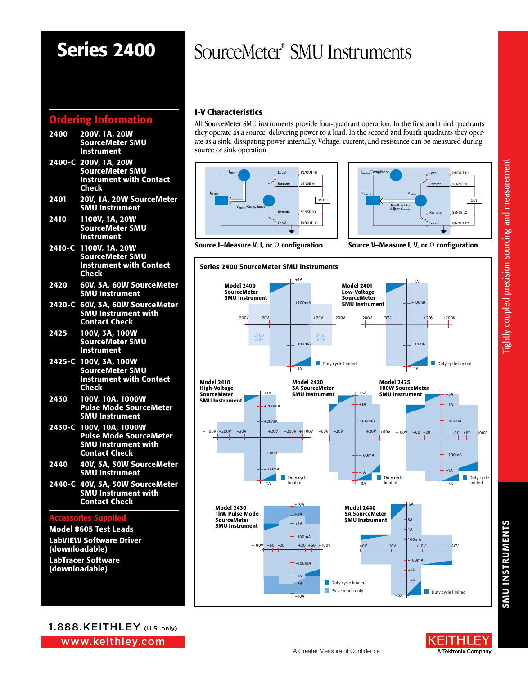# Series 2400

## Ordering Information

- 2400 200V, 1A, 20W SourceMeter SMU Instrument
- 2400-C 200V, 1A, 20W SourceMeter SMU Instrument with Contact Check
- 2401 20V, 1A, 20W SourceMeter SMU Instrument
- 2410 1100V, 1A, 20W SourceMeter SMU Instrument
- 2410-C 1100V, 1A, 20W SourceMeter SMU Instrument with Contact **Check**
- 2420 60V, 3A, 60W SourceMeter SMU Instrument
- 2420-C 60V, 3A, 60W SourceMeter SMU Instrument with Contact Check
- 2425 100V, 3A, 100W SourceMeter SMU Instrument
- 2425-C 100V, 3A, 100W SourceMeter SMU Instrument with Contact Check
- 2430 100V, 10A, 1000W Pulse Mode SourceMeter SMU Instrument
- 2430-C 100V, 10A, 1000W Pulse Mode SourceMeter SMU Instrument with Contact Check
- 2440 40V, 5A, 50W SourceMeter SMU Instrument
- 2440-C 40V, 5A, 50W SourceMeter SMU Instrument with Contact Check

### Accessories Supplied

Model 8605 Test Leads LabVIEW Software Driver (downloadable)

LabTracer Software (downloadable)

# 1.888.KEITHLEY (U.S. only)

www.keithley.com

# SourceMeter® SMU Instruments

## I-V Characteristics

All SourceMeter SMU instruments provide four-quadrant operation. In the first and third quadrants they operate as a source, delivering power to a load. In the second and fourth quadrants they operate as a sink, dissipating power internally. Voltage, current, and resistance can be measured during source or sink operation.





Source I–Measure V, I, or  $\Omega$  configuration Source V–Measure I, V, or  $\Omega$  configuration





(EITHLF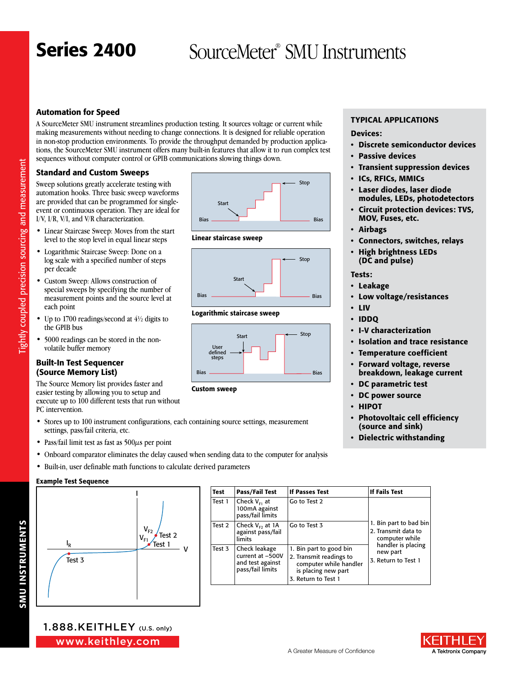### Automation for Speed

A SourceMeter SMU instrument streamlines production testing. It sources voltage or current while making measurements without needing to change connections. It is designed for reliable operation in non-stop production environments. To provide the throughput demanded by production applications, the SourceMeter SMU instrument offers many built-in features that allow it to run complex test sequences without computer control or GPIB communications slowing things down.

### Standard and Custom Sweeps

Sweep solutions greatly accelerate testing with automation hooks. Three basic sweep waveforms are provided that can be programmed for singleevent or continuous operation. They are ideal for I/V, I/R, V/I, and V/R characterization.

- Linear Staircase Sweep: Moves from the start level to the stop level in equal linear steps
- Logarithmic Staircase Sweep: Done on a log scale with a specified number of steps per decade
- Custom Sweep: Allows construction of special sweeps by specifying the number of measurement points and the source level at each point
- Up to 1700 readings/second at  $4\frac{1}{2}$  digits to the GPIB bus
- 5000 readings can be stored in the nonvolatile buffer memory

### Built-In Test Sequencer (Source Memory List)

The Source Memory list provides faster and easier testing by allowing you to setup and execute up to 100 different tests that run without PC intervention.

- Stores up to 100 instrument configurations, each containing source settings, measurement settings, pass/fail criteria, etc.
- Pass/fail limit test as fast as  $500\mu s$  per point
- Onboard comparator eliminates the delay caused when sending data to the computer for analysis
- Built-in, user definable math functions to calculate derived parameters

### Example Test Sequence



| <b>Test</b> | Pass/Fail Test                                                            | <b>If Passes Test</b>                                                                                                      | If Fails Test                                                   |
|-------------|---------------------------------------------------------------------------|----------------------------------------------------------------------------------------------------------------------------|-----------------------------------------------------------------|
| Test 1      | Check $V_{E1}$ at<br>100mA against<br>pass/fail limits                    | Go to Test 2                                                                                                               |                                                                 |
| Test 2      | Check $V_{F2}$ at 1A<br>against pass/fail<br>limits                       | Go to Test 3                                                                                                               | 1. Bin part to bad bin<br>2. Transmit data to<br>computer while |
| Test 3      | Check leakage<br>current at -500V<br>and test against<br>pass/fail limits | 1. Bin part to good bin<br>2. Transmit readings to<br>computer while handler<br>is placing new part<br>3. Return to Test 1 | handler is placing<br>new part<br>3. Return to Test 1           |



### Linear staircase sweep



### Logarithmic staircase sweep



Custom sweep

### **TYPICAL APPLICATIONS**

### Devices:

- Discrete semiconductor devices
- Passive devices
- Transient suppression devices
- ICs, RFICs, MMICs
- Laser diodes, laser diode modules, LEDs, photodetectors
- Circuit protection devices: TVS, MOV, Fuses, etc.
- Airbags
- Connectors, switches, relays
- High brightness LEDs (DC and pulse)

### Tests:

- Leakage
- Low voltage/resistances
- LIV
- IDDQ
- I-V characterization
- Isolation and trace resistance
- Temperature coefficient
- Forward voltage, reverse breakdown, leakage current
- DC parametric test
- DC power source
- HIPOT
- Photovoltaic cell efficiency (source and sink)
- Dielectric withstanding

**SMU INSTRUMENTS** SMU INSTRUMENTS

Fightly coupled precision sourcing and measurement Tightly coupled precision sourcing and measurement



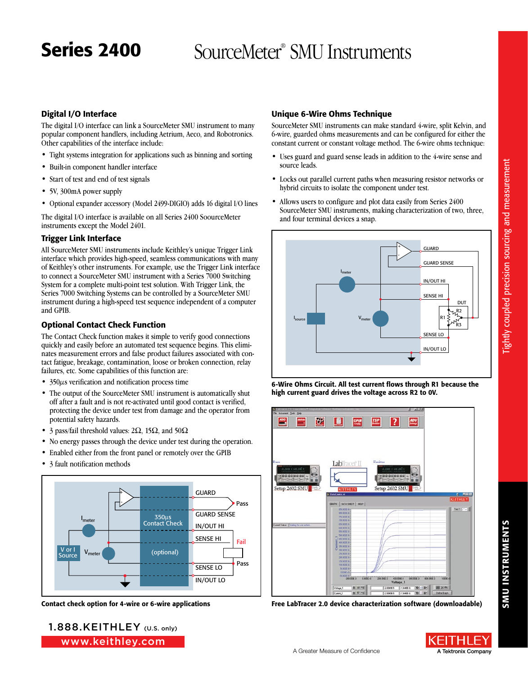Unique 6-Wire Ohms Technique

### Digital I/O Interface

The digital I/O interface can link a SourceMeter SMU instrument to many popular component handlers, including Aetrium, Aeco, and Robotronics. Other capabilities of the interface include:

- Tight systems integration for applications such as binning and sorting
- Built-in component handler interface
- Start of test and end of test signals
- 5V, 300mA power supply
- Optional expander accessory (Model 2499-DIGIO) adds 16 digital I/O lines

The digital I/O interface is available on all Series 2400 SoourceMeter instruments except the Model 2401.

### Trigger Link Interface

All SourceMeter SMU instruments include Keithley's unique Trigger Link interface which provides high-speed, seamless communications with many of Keithley's other instruments. For example, use the Trigger Link interface to connect a SourceMeter SMU instrument with a Series 7000 Switching System for a complete multi-point test solution. With Trigger Link, the Series 7000 Switching Systems can be controlled by a SourceMeter SMU instrument during a high-speed test sequence independent of a computer and GPIB.

### Optional Contact Check Function

The Contact Check function makes it simple to verify good connections quickly and easily before an automated test sequence begins. This eliminates measurement errors and false product failures associated with contact fatigue, breakage, contamination, loose or broken connection, relay failures, etc. Some capabilities of this function are:

- 350µs verification and notification process time
- The output of the SourceMeter SMU instrument is automatically shut off after a fault and is not re-activated until good contact is verified, protecting the device under test from damage and the operator from potential safety hazards.
- 3 pass/fail threshold values:  $2\Omega$ ,  $15\Omega$ , and  $50\Omega$
- No energy passes through the device under test during the operation.
- Enabled either from the front panel or remotely over the GPIB
- 3 fault notification methods



## constant current or constant voltage method. The 6-wire ohms technique:

• Uses guard and guard sense leads in addition to the 4-wire sense and source leads.

SourceMeter SMU instruments can make standard 4-wire, split Kelvin, and 6-wire, guarded ohms measurements and can be configured for either the

- Locks out parallel current paths when measuring resistor networks or hybrid circuits to isolate the component under test.
- Allows users to configure and plot data easily from Series 2400 SourceMeter SMU instruments, making characterization of two, three, and four terminal devices a snap.







Contact check option for 4-wire or 6-wire applications Free LabTracer 2.0 device characterization software (downloadable)

ightly coupled precision sourcing and measurement Tightly coupled precision sourcing and measurement

www.keithley.com 1.888.KEITHLEY (U.S. only)

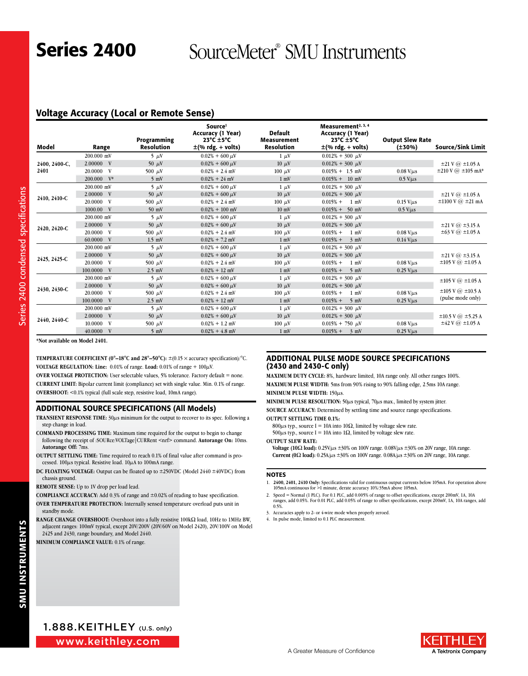### Voltage Accuracy (Local or Remote Sense)

| Model         | Range         | Programming<br><b>Resolution</b> | Source <sup>1</sup><br>Accuracy (1 Year)<br>$23^{\circ}$ C $\pm$ 5°C<br>$\pm$ (% rdg. + volts) | <b>Default</b><br>Measurement<br><b>Resolution</b> | Measurement <sup>2, 3, 4</sup><br>Accuracy (1 Year)<br>$23^{\circ}$ C $\pm$ 5°C<br>$\pm$ (% rdg. + volts) | <b>Output Slew Rate</b><br>$(\pm 30\%)$ | <b>Source/Sink Limit</b>           |
|---------------|---------------|----------------------------------|------------------------------------------------------------------------------------------------|----------------------------------------------------|-----------------------------------------------------------------------------------------------------------|-----------------------------------------|------------------------------------|
|               | 200,000 mV    | $5 \mu V$                        | $0.02\% + 600 \,\mu\text{V}$                                                                   | $1 \mu V$                                          | $0.012\% + 300 \mu$ V                                                                                     |                                         |                                    |
| 2400, 2400-C, | 2.00000 V     | 50 $\mu$ V                       | $0.02\% + 600 \,\mu\text{V}$                                                                   | $10 \mu V$                                         | $0.012\% + 300 \mu V$                                                                                     |                                         | $\pm 21$ V $\omega$ $\pm 1.05$ A   |
| 2401          | 20.0000 V     | 500 $\mu$ V                      | $0.02\% + 2.4$ mV                                                                              | $100 \mu V$                                        | $0.015\% + 1.5$ mV                                                                                        | $0.08$ V/ $\mu$ s                       | $\pm 210$ V $\omega$ $\pm 105$ mA* |
|               | 200,000 V*    | $5 \text{ mV}$                   | $0.02\% + 24$ mV                                                                               | $1 \text{ mV}$                                     | $0.015\% + 10$ mV                                                                                         | $0.5$ V/ $\mu$ s                        |                                    |
|               | 200,000 mV    | $5 \mu V$                        | $0.02\% + 600 \,\mu\text{V}$                                                                   | $1 \mu V$                                          | $0.012\% + 300 \mu$ V                                                                                     |                                         |                                    |
|               | 2.00000 V     | 50 $\mu$ V                       | $0.02\% + 600 \,\mu\text{V}$                                                                   | $10 \mu V$                                         | $0.012\% + 300 \mu V$                                                                                     |                                         | $\pm 21$ V $\omega$ $\pm 1.05$ A   |
| 2410, 2410-C  | 20.0000 V     | 500 $\mu$ V                      | $0.02\% + 2.4$ mV                                                                              | $100 \mu V$                                        | $0.015% +$<br>$1 \text{ mV}$                                                                              | $0.15$ V/ $\mu$ s                       | $\pm 1100$ V $@$ $\pm 21$ mA       |
|               | 1000.00 V     | $50$ mV                          | $0.02\% + 100$ mV                                                                              | $10 \text{ mV}$                                    | $0.015\% + 50$ mV                                                                                         | $0.5$ V/ $\mu$ s                        |                                    |
|               | 200,000 mV    | $5 \mu V$                        | $0.02\% + 600 \,\mu\text{V}$                                                                   | $1 \mu V$                                          | $0.012\% + 300 \mu$ V                                                                                     |                                         |                                    |
|               | 2.00000 V     | 50 $\mu$ V                       | $0.02\% + 600 \,\mu\text{V}$                                                                   | $10 \mu V$                                         | $0.012\% + 300 \mu V$                                                                                     |                                         | $\pm 21$ V $\omega$ $\pm 3.15$ A   |
| 2420, 2420-C  | 20.0000 V     | 500 $\mu$ V                      | $0.02\% + 2.4$ mV                                                                              | $100 \mu$ V                                        | $0.015% +$<br>$1 \text{ mV}$                                                                              | $0.08$ V/ $\mu$ s                       | $\pm 63$ V @ $\pm 1.05$ A          |
|               | 60.0000 V     | $1.5$ mV                         | $0.02\% + 7.2$ mV                                                                              | $1 \text{ mV}$                                     | $0.015% +$<br>$3 \text{ mV}$                                                                              | $0.14$ V/ $\mu$ s                       |                                    |
|               | 200,000 mV    | $5 \mu V$                        | $0.02\% + 600 \,\mu\text{V}$                                                                   | $1 \mu V$                                          | $0.012\% + 300 \mu$ V                                                                                     |                                         |                                    |
|               | 2.00000 V     | 50 $\mu$ V                       | $0.02\% + 600 \,\mu\text{V}$                                                                   | $10 \mu V$                                         | $0.012\% + 300 \mu V$                                                                                     |                                         | $\pm 21$ V $\omega$ $\pm 3.15$ A   |
| 2425, 2425-C  | 20.0000 V     | 500 $\mu$ V                      | $0.02\% + 2.4$ mV                                                                              | $100 \mu V$                                        | $0.015% +$<br>$1 \text{ mV}$                                                                              | $0.08$ V/ $\mu$ s                       | $\pm 105$ V $\omega$ $\pm 1.05$ A  |
|               | 100.0000 V    | $2.5$ mV                         | $0.02\% + 12$ mV                                                                               | $1 \text{ mV}$                                     | $0.015\% + 5$ mV                                                                                          | $0.25$ V/ $\mu$ s                       |                                    |
|               | 200,000 mV    | $5 \mu V$                        | $0.02\% + 600 \,\mu\text{V}$                                                                   | $1 \mu V$                                          | $0.012\% + 300 \mu V$                                                                                     |                                         | $\pm 105$ V $\omega$ $\pm 1.05$ A  |
|               | 2.00000 V     | 50 $\mu$ V                       | $0.02\% + 600 \,\mu\text{V}$                                                                   | $10 \mu V$                                         | $0.012\% + 300 \mu V$                                                                                     |                                         |                                    |
| 2430, 2430-C  | 20.0000 V     | 500 $\mu$ V                      | $0.02\% + 2.4$ mV                                                                              | $100 \mu V$                                        | $0.015% +$<br>$1 \text{ mV}$                                                                              | $0.08$ V/ $\mu$ s                       | $\pm 105$ V $\omega$ $\pm 10.5$ A  |
|               | 100.0000<br>V | $2.5$ mV                         | $0.02\% + 12$ mV                                                                               | $1 \text{ mV}$                                     | $0.015% +$<br>$5 \text{ mV}$                                                                              | $0.25$ V/ $\mu$ s                       | (pulse mode only)                  |
|               | 200,000 mV    | $5 \mu V$                        | $0.02\% + 600 \,\mu\text{V}$                                                                   | $1 \mu V$                                          | $0.012\% + 300 \mu V$                                                                                     |                                         |                                    |
|               | 2.00000 V     | 50 $\mu$ V                       | $0.02\% + 600 \,\mu\text{V}$                                                                   | $10 \mu V$                                         | $0.012\% + 300 \mu V$                                                                                     |                                         | $\pm 10.5$ V $\omega$ $\pm 5.25$ A |
| 2440, 2440-C  | 10.0000 V     | 500 $\mu$ V                      | $0.02\% + 1.2$ mV                                                                              | $100 \mu$ V                                        | $0.015\% + 750 \mu V$                                                                                     | $0.08$ V/ $\mu$ s                       | $\pm 42$ V $\omega$ $\pm 1.05$ A   |
|               | 40.0000 V     | $5 \text{ mV}$                   | $0.02\% + 4.8$ mV                                                                              | $1 \text{ mV}$                                     | $0.015% + 3$ mV                                                                                           | $0.25$ V/ $\mu$ s                       |                                    |

**\*Not available on Model 2401.**

**TEMPERATURE COEFFICIENT (0°–18°C and 28°–50°C):**  $\pm$ (0.15  $\times$  accuracy specification)/°C. **VOLTAGE REGULATION: Line:**  $0.01\%$  of range. Load:  $0.01\%$  of range +  $100\mu$ V. **OVER VOLTAGE PROTECTION:** User selectable values, 5% tolerance. Factory default = none.

**Current Limit :** Bipolar current limit (compliance) set with single value. Min. 0.1% of range. **OVERSHOOT:** <0.1% typical (full scale step, resistive load, 10mA range).

### ADDITIONAL SOURCE SPECIFICATIONS (All Models)

- TRANSIENT RESPONSE TIME:  $30\mu s$  minimum for the output to recover to its spec. following a step change in load.
- **COMMAND PROCESSING TIME:** Maximum time required for the output to begin to change following the receipt of :SOURce:VOLTage|CURRent <nrf> command. **Autorange On:** 10ms. **Autorange Off:** 7ms.
- **OUTPUT SETTLING TIME:** Time required to reach 0.1% of final value after command is processed.  $100\mu s$  typical. Resistive load.  $10\mu A$  to  $100mA$  range.
- **DC FLOATING VOLTAGE:** Output can be floated up to ±250VDC (Model 2440 ±40VDC) from chassis ground.
- **REMOTE SENSE:** Up to 1V drop per load lead.

**COMPLIANCE ACCURACY:** Add 0.3% of range and ±0.02% of reading to base specification.

- **OVER TEMPERATURE PROTECTION:** Internally sensed temperature overload puts unit in standby mode.
- RANGE CHANGE OVERSHOOT: Overshoot into a fully resistive 100kΩ load, 10Hz to 1MHz BW, adjacent ranges: 100mV typical, except 20V/200V (20V/60V on Model 2420), 20V/100V on Model 2425 and 2430, range boundary, and Model 2440.

**MINIMUM COMPLIANCE VALUE:** 0.1% of range.

### ADDITIONAL PULSE MODE SOURCE SPECIFICATIONS (2430 and 2430-C only)

**MAXIMUM DUTY CYCLE:** 8%, hardware limited, 10A range only. All other ranges 100%. **Maximum Pulse Width :** 5ms from 90% rising to 90% falling edge, 2.5ms 10A range. **MINIMUM PULSE WIDTH: 150** $\mu$ **s.** 

**MINIMUM PULSE RESOLUTION:** 50 $\mu$ s typical, 70 $\mu$ s max., limited by system jitter.

**Source Accuracy:** Determined by settling time and source range specifications. **Output Settling Time 0.1%:**

800 $\mu$ s typ., source I = 10A into 10 $\Omega$ , limited by voltage slew rate. 500 $\mu$ s typ., source I = 10A into 1 $\Omega$ , limited by voltage slew rate.

**Output Slew Rate :**

**Voltage (10** $\Omega$  **load):** 0.25V/ $\mu$ s  $\pm$ 30% on 100V range. 0.08V/ $\mu$ s  $\pm$ 30% on 20V range, 10A range. **Current (0** $\Omega$  **load):** 0.25A/ $\mu$ s  $\pm$ 30% on 100V range. 0.08A/ $\mu$ s  $\pm$ 30% on 20V range, 10A range.

### **NOTES**

- 1. **2400, 2401, 2410 Only:** Specifications valid for continuous output currents below 105mA. For operation above 105mA continuous for >1 minute, derate accuracy 10%/35mA above 105mA.
- 2. Speed = Normal (1 PLC). For 0.1 PLC, add 0.005% of range to offset specifications, except 200mV, 1A, 10A ranges, add 0.05%. For 0.01 PLC, add 0.05% of range to offset specifications, except 200mV, 1A, 10A ranges, add 0.5%.
- 3. Accuracies apply to 2- or 4-wire mode when properly zeroed.
- 4. In pulse mode, limited to 0.1 PLC measurement.

www.keithley.com 1.888.KEITHLEY (U.S. only)

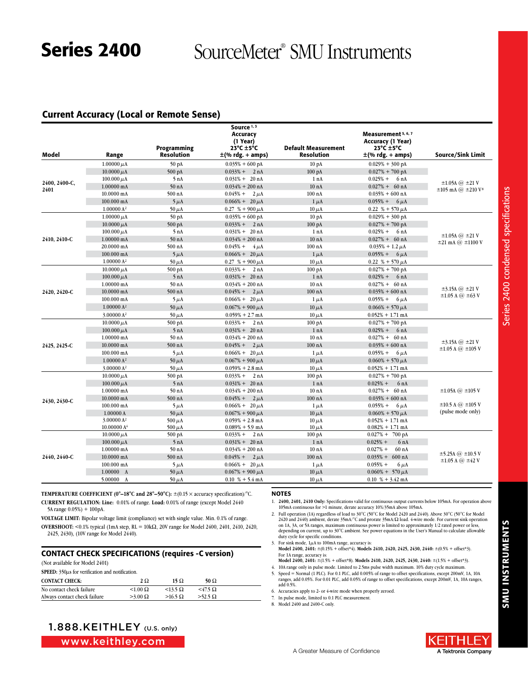### Current Accuracy (Local or Remote Sense)

| Model         | Range                                   | Programming<br><b>Resolution</b> | Source <sup>1,3</sup><br>Accuracy<br>(1 Year)<br>$23^{\circ}$ C $\pm$ 5°C<br>$\pm$ (% rdg. + amps) | <b>Default Measurement</b><br>Resolution | Measurement 5, 6, 7<br>Accuracy (1 Year)<br>$23^{\circ}$ C $\pm$ 5 $^{\circ}$ C<br>±(% rdg. + amps) | <b>Source/Sink Limit</b>                       |
|---------------|-----------------------------------------|----------------------------------|----------------------------------------------------------------------------------------------------|------------------------------------------|-----------------------------------------------------------------------------------------------------|------------------------------------------------|
|               | $1.00000 \mu A$                         | 50 pA                            | $0.035\% + 600 \text{ pA}$                                                                         | 10 <sub>pA</sub>                         | $0.029\% + 300 \text{ pA}$                                                                          |                                                |
|               | $10.0000 \mu A$                         | 500 pA                           | $0.033\% + 2 nA$                                                                                   | $100\ \mathrm{pA}$                       | $0.027\% + 700$ pA                                                                                  |                                                |
|               | 100.000 $\mu$ A                         | 5 nA                             | $0.031\% + 20 \text{ nA}$                                                                          | 1 nA                                     | $0.025% +$<br>6 nA                                                                                  |                                                |
| 2400, 2400-C, | 1.00000 mA                              | 50 <sub>nA</sub>                 | $0.034\% + 200$ nA                                                                                 | 10 <sub>nA</sub>                         | $0.027\% + 60 \text{ nA}$                                                                           | $\pm 1.05$ A $\omega$ $\pm 21$ V               |
| 2401          | 10.0000 mA                              | 500 nA                           | $0.045% +$<br>$2 \mu A$                                                                            | $100$ nA                                 | $0.035\% + 600$ nA                                                                                  | $\pm 105$ mA $\omega$ $\pm 210$ V <sup>8</sup> |
|               | 100.000 mA                              | $5 \mu A$                        | $0.066\% + 20 \mu A$                                                                               | $1 \mu A$                                | $0.055\% + 6 \mu A$                                                                                 |                                                |
|               | $1.00000 A^2$                           | 50 $\mu$ A                       | $0.27$ % + 900 $\mu$ A                                                                             | $10 \mu A$                               | 0.22 % + 570 $\mu$ A                                                                                |                                                |
|               | $1.00000 \mu A$                         | 50 pA                            | $0.035\% + 600 \text{ pA}$                                                                         | 10 <sub>pA</sub>                         | $0.029\% + 300 \text{ pA}$                                                                          |                                                |
|               | 10.0000 $\mu$ A                         |                                  | $0.033\% + 2 nA$                                                                                   | $100\ \mathrm{pA}$                       | $0.027% + 700$ pA                                                                                   |                                                |
|               | $100.000 \mu A$                         | 500 pA<br>5nA                    | $0.031\% + 20 \text{ nA}$                                                                          | 1 nA                                     | $0.025% +$<br>6 nA                                                                                  |                                                |
| 2410, 2410-C  | 1.00000 mA                              | 50 <sub>nA</sub>                 | $0.034\% + 200$ nA                                                                                 | 10 <sub>nA</sub>                         | $0.027\% + 60 \text{ nA}$                                                                           | $\pm 1.05$ A @ $\pm 21$ V                      |
|               | 20.0000 mA                              | 500 nA                           | $0.045% +$<br>$4 \mu A$                                                                            | $100$ nA                                 | $0.035\% + 1.2 \mu A$                                                                               | $\pm 21$ mA $\omega$ $\pm 1100$ V              |
|               | 100.000 mA                              | $5 \mu A$                        | $0.066\% + 20 \,\mu A$                                                                             | $1 \mu A$                                | $0.055\% + 6 \mu A$                                                                                 |                                                |
|               | 1.00000 A <sup>2</sup>                  | $50 \mu A$                       | $0.27$ % + 900 $\mu$ A                                                                             | $10 \mu A$                               | 0.22 % + 570 $\mu$ A                                                                                |                                                |
|               | 10.0000 $\mu$ A                         | 500 pA                           | $0.033\% + 2 nA$                                                                                   | $100\text{ pA}$                          | $0.027\% + 700$ pA                                                                                  |                                                |
|               |                                         | 5 nA                             | $0.031\% + 20 \text{ nA}$                                                                          | 1 nA                                     | $0.025% + 6 nA$                                                                                     |                                                |
| 2420, 2420-C  | $100.000 \mu A$<br>$1.00000 \text{ mA}$ | 50 <sub>nA</sub>                 |                                                                                                    | 10 <sub>nA</sub>                         | $0.027\% + 60 \text{ nA}$                                                                           |                                                |
|               |                                         |                                  | $0.034\% + 200$ nA                                                                                 |                                          |                                                                                                     | $\pm 3.15$ A $@ \pm 21$ V                      |
|               | 10.0000 mA                              | 500 nA                           | $0.045\% + 2 \mu A$                                                                                | $100$ nA                                 | $0.035\% + 600$ nA                                                                                  | $\pm 1.05$ A $\omega$ $\pm 63$ V               |
|               | 100.000 mA                              | $5 \mu A$                        | $0.066\% + 20 \,\mu A$                                                                             | $1 \mu A$                                | $0.055% +$<br>$6 \mu A$                                                                             |                                                |
|               | 1.00000 A <sup>2</sup>                  | 50 $\mu$ A                       | $0.067\% + 900 \mu A$                                                                              | $10 \mu A$                               | $0.066\% + 570 \mu A$                                                                               |                                                |
|               | 3.00000 A <sup>2</sup>                  | $50 \mu A$                       | $0.059\% + 2.7$ mA                                                                                 | $10 \mu A$                               | $0.052\% + 1.71$ mA                                                                                 |                                                |
|               | $10.0000 \mu A$                         | 500 pA                           | $0.033% + 2 nA$                                                                                    | $100\text{ pA}$                          | $0.027\% + 700$ pA                                                                                  |                                                |
|               | $100.000 \mu A$                         | 5nA                              | $0.031\% + 20 \text{ nA}$                                                                          | 1 nA                                     | $0.025% + 6 nA$                                                                                     |                                                |
|               | 1.00000 mA                              | 50 nA                            | $0.034\% + 200$ nA                                                                                 | 10 <sub>nA</sub>                         | $0.027\% + 60 \text{ nA}$                                                                           | $\pm 3.15$ A $@ \pm 21$ V                      |
| 2425, 2425-C  | 10.0000 mA                              | 500 nA                           | $0.045% + 2 \mu A$                                                                                 | $100$ nA                                 | $0.035\% + 600$ nA                                                                                  | $\pm 1.05$ A $@$ $\pm 105$ V                   |
|               | 100.000 mA                              | $5 \mu A$                        | $0.066\% + 20 \,\mu A$                                                                             | $1 \mu A$                                | $0.055% +$<br>$6 \mu A$                                                                             |                                                |
|               | 1.00000 A <sup>2</sup>                  | 50 $\mu$ A                       | $0.067\% + 900 \mu A$                                                                              | $10 \mu A$                               | $0.060\% + 570 \mu A$                                                                               |                                                |
|               | 3.00000 A <sup>2</sup>                  | 50 $\mu$ A                       | $0.059\% + 2.8$ mA                                                                                 | $10 \mu A$                               | $0.052\% + 1.71$ mA                                                                                 |                                                |
|               | $10.0000 \mu A$                         | 500 pA                           | $0.033\% + 2 nA$                                                                                   | $100\ \mathrm{pA}$                       | $0.027\% + 700$ pA                                                                                  |                                                |
|               | $100.000 \mu A$                         | 5 nA                             | $0.031\% + 20 \text{ nA}$                                                                          | 1 nA                                     | $0.025% +$<br>6nA                                                                                   |                                                |
|               | 1.00000 mA                              | 50 <sub>nA</sub>                 | $0.034\% + 200$ nA                                                                                 | 10 <sub>nA</sub>                         | $0.027\% + 60 \text{ nA}$                                                                           | $\pm 1.05$ A $\omega$ $\pm 105$ V              |
| 2430, 2430-C  | 10.0000 mA                              | 500 nA                           | $0.045\% + 2 \mu A$                                                                                | $100$ nA                                 | $0.035\% + 600$ nA                                                                                  |                                                |
|               | 100.000 mA                              | $5 \mu$ A                        | $0.066\% + 20 \,\mu A$                                                                             | $1 \mu A$                                | $0.055% +$<br>$6 \mu A$                                                                             | $\pm 10.5$ A $\omega$ $\pm 105$ V              |
|               | 1.00000A                                | $50 \mu A$                       | $0.067\% + 900 \mu A$                                                                              | $10 \mu A$                               | $0.060\% + 570 \mu A$                                                                               | (pulse mode only)                              |
|               | 3.00000 A <sup>2</sup>                  | 500 $\mu$ A                      | $0.059\% + 2.8$ mA                                                                                 | $10 \mu A$                               | $0.052\% + 1.71$ mA                                                                                 |                                                |
|               | 10.00000 A <sup>4</sup>                 | 500 $\mu$ A                      | $0.089\% + 5.9$ mA                                                                                 | $10 \mu A$                               | $0.082\% + 1.71$ mA                                                                                 |                                                |
|               | $10.0000 \mu A$                         | 500 pA                           | $0.033% +$<br>2 nA                                                                                 | $100\ \mathrm{pA}$                       | $0.027\% + 700 \text{ pA}$                                                                          |                                                |
|               | $100.000 \mu A$                         | 5 nA                             | $0.031\% + 20 \text{ nA}$                                                                          | 1 nA                                     | $0.025% +$<br>6nA                                                                                   |                                                |
|               | 1.00000 mA                              | 50 <sub>nA</sub>                 | $0.034\% + 200$ nA                                                                                 | 10 <sub>nA</sub>                         | 60 <sub>nA</sub><br>$0.027% +$                                                                      | $\pm$ 5.25A @ $\pm$ 10.5 V                     |
| 2440, 2440-C  | 10.0000 mA                              | 500 nA                           | $0.045\% + 2 \mu A$                                                                                | $100$ nA                                 | $0.035\% + 600 \text{ nA}$                                                                          | $\pm 1.05$ A $\omega$ $\pm 42$ V               |
|               | 100.000 mA                              | $5 \mu A$                        | $0.066\% + 20 \mu A$                                                                               | $1 \mu A$                                | $0.055% +$<br>$6 \mu A$                                                                             |                                                |
|               | 1.00000 A                               | $50 \mu A$                       | $0.067\% + 900 \mu A$                                                                              | $10 \mu A$                               | $0.060\% + 570 \,\mu\text{A}$                                                                       |                                                |
|               | 5.00000 A                               | $50 \mu A$                       | $0.10\% + 5.4 \text{ mA}$                                                                          | $10 \mu A$                               | $0.10\% + 3.42 \text{ mA}$                                                                          |                                                |

**TEMPERATURE COEFFICIENT (0°–18°C and 28°–50°C):**  $\pm$ (0.15  $\times$  accuracy specification)/°C. **CURRENT Regulation : Line:** 0.01% of range. **Load:** 0.01% of range (except Model 2440 5A range 0.05%) + 100pA.

**Voltage LIMIT:** Bipolar voltage limit (compliance) set with single value. Min. 0.1% of range. **OVERSHOOT:** <0.1% typical (1mA step,  $RL = 10k\Omega$ , 20V range for Model 2400, 2401, 2410, 2420, 2425, 2430), (10V range for Model 2440).

### CONTACT CHECK SPECIFICATIONS (requires -C version)

(Not available for Model 2401)

|                              | SPEED: 350 $\mu$ s for verification and notification. |                   |                   |  |  |
|------------------------------|-------------------------------------------------------|-------------------|-------------------|--|--|
| <b>CONTACT CHECK:</b>        | $2\Omega$                                             | 15 Ω              | 50 $\Omega$       |  |  |
| No contact check failure     | $< 1.00 \Omega$                                       | $<$ 13.5 $\Omega$ | $<$ 47.5 $\Omega$ |  |  |
| Always contact check failure | $>3.00 \Omega$                                        | $>16.5 \Omega$    | $>52.5 \Omega$    |  |  |

### NOTES

1. **2400, 2401, 2410 Only:** Specifications valid for continuous output currents below 105mA. For operation above 105mA continuous for >1 minute, derate accuracy 10%/35mA above 105mA.

2. Full operation (1A) regardless of load to 30°C (50°C for Model 2420 and 2440). Above 30°C (50°C for Model 2420 and 2440) ambient, derate 35mA/°C and prorate 35mA/Ω load. 4-wire mode. For current sink operation<br>on 1A, 3A, or 5A ranges, maximum continuous power is limited to approximately 1/2 rated power or less, depending on current, up to 30°C ambient. See power equations in the User's Manual to calculate allowable duty cycle for specific conditions.

3. For sink mode,  $1\mu$ A to 100mA range, accuracy is

- **Model 2400, 2401:** ±(0.15% + offset\*4). **Models 2410, 2420, 2425, 2430, 2440:** ±(0.5% + offset\*3). For 1A range, accuracy is:
- **Model 2400, 2401:** ±(1.5% + offset\*8). **Models 2410, 2420, 2425, 2430, 2440:** ±(1.5% + offset\*3).
- 4. 10A range only in pulse mode. Limited to 2.5ms pulse width maximum. 10% duty cycle maximum. 5. Speed = Normal (1 PLC). For 0.1 PLC, add 0.005% of range to offset specifications, except 200mV, 1A, 10A ranges, add 0.05%. For 0.01 PLC, add 0.05% of range to offset specifications, except 200mV, 1A, 10A ranges, add 0.5%.

6. Accuracies apply to 2- or 4-wire mode when properly zeroed.

7. In pulse mode, limited to 0.1 PLC measurement.





www.keithley.com

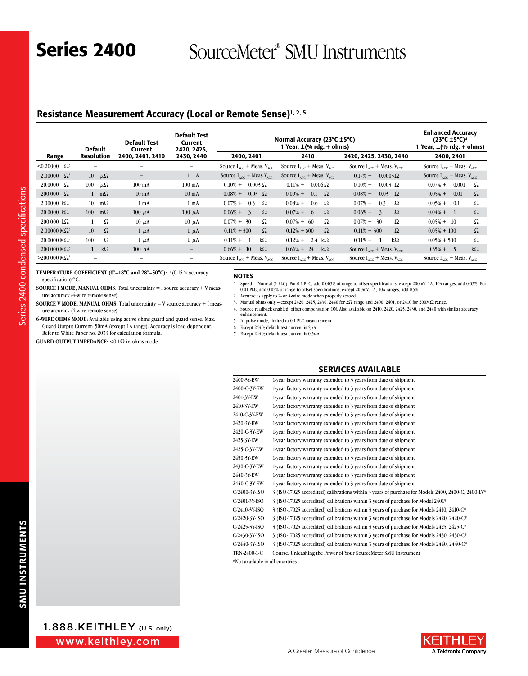### Resistance Measurement Accuracy (Local or Remote Sense)<sup>1, 2, 5</sup>

|                                        | <b>Default</b>           |             | <b>Default Test</b><br>Current | <b>Default Test</b><br>Current<br>2420, 2425. |                                                  | Normal Accuracy (23°C ±5°C)<br>1 Year, $\pm$ (% rdg. + ohms) |                                                  | <b>Enhanced Accuracy</b><br>$(23^{\circ}C \pm 5^{\circ}C)^4$<br>1 Year, $\pm$ (% rdg. + ohms) |
|----------------------------------------|--------------------------|-------------|--------------------------------|-----------------------------------------------|--------------------------------------------------|--------------------------------------------------------------|--------------------------------------------------|-----------------------------------------------------------------------------------------------|
| Range                                  | Resolution               |             | 2400.2401.2410                 | 2430, 2440                                    | 2400, 2401                                       | 2410                                                         | 2420, 2425, 2430, 2440                           | 2400, 2401                                                                                    |
| $< 0.20000 \quad \Omega^3$             | -                        |             |                                | -                                             | Source $I_{\text{acc}}$ + Meas. $V_{\text{acc}}$ | Source $I_{\text{acc}}$ + Meas. $V_{\text{acc}}$             | Source $I_{\text{acc}}$ + Meas. $V_{\text{acc}}$ | Source $I_{acc}$ + Meas. $V_{acc}$                                                            |
| 2.00000 $\Omega^3$                     | 10 $\mu\Omega$           |             | $\qquad \qquad -$              | $1 \quad A$                                   | Source $I_{\text{acc}}$ + Meas $V_{\text{acc}}$  | Source $I_{\text{acc}}$ + Meas. $V_{\text{acc}}$             | $0.17% +$<br>$0.0003\Omega$                      | Source $I_{\text{acc}}$ + Meas. $V_{\text{acc}}$                                              |
| $20.0000 \Omega$                       | 100                      | $\mu\Omega$ | $100 \text{ mA}$               | $100 \text{ mA}$                              | $0.003 \Omega$<br>$0.10\% +$                     | $0.006\,\Omega$<br>$0.11% +$                                 | $0.10\%$ +<br>$0.003$ $\Omega$                   | $0.07%$ +<br>0.001<br>Ω                                                                       |
| $200.000 \Omega$                       | $\mathbf{1}$             | $m\Omega$   | $10 \text{ mA}$                | $10 \text{ mA}$                               | $0.08\% +$<br>$0.03 \Omega$                      | $0.09\% +$<br>$0.1 \Omega$                                   | $0.08\% +$<br>0.03<br>$\Omega$                   | $0.05% +$<br>0.01<br>Ω                                                                        |
| $2.00000 k\Omega$                      | 10 <sup>1</sup>          | $m\Omega$   | 1 <sub>mA</sub>                | 1 <sub>mA</sub>                               | $0.07% +$<br>0.3<br>Ω                            | $0.08\% +$<br>$0.6\quad \Omega$                              | $0.07%$ +<br>0.3<br>Ω                            | $0.05% +$<br>Ω<br>0.1                                                                         |
| $20.0000 \text{ k}\Omega$              | 100                      | $m\Omega$   | $100 \mu A$                    | $100 \mu A$                                   | $0.06\% +$<br>Ω<br>$-3$                          | $\Omega$<br>$0.07\% +$<br>-6                                 | $0.06\% + 3$<br>$\Omega$                         | $0.04\% +$<br>$\Omega$<br>$\overline{1}$                                                      |
| $200.000 \text{ k}\Omega$              |                          | Ω           | $10 \mu A$                     | $10 \mu A$                                    | $0.07\% + 30$<br>Ω                               | $0.07\% + 60$<br>Ω                                           | Ω<br>$0.07\% + 30$                               | $0.05\% + 10$<br>Ω                                                                            |
| $2.00000 \text{ M}\Omega$ <sup>6</sup> | 10                       | $\Omega$    | $1 \mu A$                      | $1 \mu A$                                     | $\Omega$<br>$0.11\% + 300$                       | $\Omega$<br>$0.12\% + 600$                                   | $\Omega$<br>$0.11\% + 300$                       | $\Omega$<br>$0.05\% + 100$                                                                    |
| $20.0000 \text{ M}\Omega^7$            | 100                      | Ω           | $1 \mu A$                      | $1 \mu A$                                     | $0.11\% +$<br>kΩ                                 | $0.12% +$<br>2.4 $k\Omega$                                   | $k\Omega$<br>$0.11\% +$                          | Ω<br>$0.05\% + 500$                                                                           |
| $200.000 \text{ M}\Omega^3$            | $\mathbf{1}$             | $k\Omega$   | $100$ nA                       | $\qquad \qquad -$                             | $0.66\% + 10$<br>$k\Omega$                       | $0.66\% + 24$<br>$k\Omega$                                   | Source $I_{acc}$ + Meas. $V_{acc}$               | $k\Omega$<br>$0.35\% + 5$                                                                     |
| $>$ 200.000 ΜΩ <sup>3</sup>            | $\overline{\phantom{0}}$ |             |                                | -                                             | Source $I_{\text{acc}}$ + Meas. $V_{\text{acc}}$ | Source $I_{\text{acc}}$ + Meas. $V_{\text{acc}}$             | Source $I_{\text{acc}}$ + Meas. $V_{\text{acc}}$ | Source $I_{\text{acc}}$ + Meas. $V_{\text{acc}}$                                              |

### **TEMPERATURE COEFFICIENT (0°–18°C and 28°–50°C):** ±(0.15 × accuracy specification)/°C.

**6-wire ohms mode :** Available using active ohms guard and guard sense. Max. Guard Output Current: 50mA (except 1A range). Accuracy is load dependent.

ure accuracy (4-wire remote sense).

Refer to White Paper no. 2033 for calculation formula. **GUARD OUTPUT IMPEDANCE:**  $\leq 0.1\Omega$  in ohms mode.

**SOURCE I MODE, MANUAL OHMS:** Total uncertainty = I source accuracy + V measure accuracy (4-wire remote sense). **SOURCE V MODE, MANUAL OHMS:** Total uncertainty = V source accuracy + I meas-

### NOTES

- 1. Speed = Normal (1 PLC). For 0.1 PLC, add 0.005% of range to offset specifications, except 200mV, 1A, 10A ranges, add 0.05%. For 0.01 PLC, add 0.05% of range to offset specifications, except 200mV, 1A, 10A ranges, add 0.5%.
- 2. Accuracies apply to 2- or 4-wire mode when properly zeroed.
- 3. Manual ohms only except 2420, 2425, 2430, 2440 for  $2\Omega$  range and 2400, 2401, or 2410 for 200M $\Omega$  range. 4. Source readback enabled, offset compensation ON. Also available on 2410, 2420, 2425, 2430, and 2440 with similar accuracy
- enhancement.
- 5. In pulse mode, limited to 0.1 PLC measurement.
- 6. Except 2440; default test current is  $5\mu$ A.
- 7. Except 2440; default test current is 0.5µA.

### Services Available

| 2400-3Y-EW       | 1-year factory warranty extended to 3 years from date of shipment                                  |
|------------------|----------------------------------------------------------------------------------------------------|
| 2400-C-3Y-EW     | 1-year factory warranty extended to 3 years from date of shipment                                  |
| 2401-3Y-EW       | 1-year factory warranty extended to 3 years from date of shipment                                  |
| 2410-3Y-EW       | 1-year factory warranty extended to 3 years from date of shipment                                  |
| 2410-C-3Y-EW     | 1-year factory warranty extended to 3 years from date of shipment                                  |
| 2420-3Y-EW       | 1-year factory warranty extended to 3 years from date of shipment                                  |
| 2420-C-3Y-EW     | 1-year factory warranty extended to 3 years from date of shipment                                  |
| 2425-3Y EW       | 1-year factory warranty extended to 3 years from date of shipment                                  |
| 2425-C-3Y-EW     | 1-year factory warranty extended to 3 years from date of shipment                                  |
| 2430-3Y-EW       | 1-year factory warranty extended to 3 years from date of shipment                                  |
| 2430-C-3Y-EW     | 1-year factory warranty extended to 3 years from date of shipment                                  |
| 2440-3Y-EW       | 1-year factory warranty extended to 3 years from date of shipment                                  |
| 2440-C-3Y-EW     | 1-year factory warranty extended to 3 years from date of shipment                                  |
| $C/2400-3Y-ISO$  | 3 (ISO-17025 accredited) calibrations within 3 years of purchase for Models 2400, 2400-C, 2400-LV* |
| $C/2401-3Y$ -ISO | 3 (ISO-17025 accredited) calibrations within 3 years of purchase for Model 2401*                   |
| C/2410-3Y-ISO    | 3 (ISO-17025 accredited) calibrations within 3 years of purchase for Models 2410, 2410-C*          |
| $C/2420-3Y-ISO$  | 3 (ISO-17025 accredited) calibrations within 3 years of purchase for Models 2420, 2420-C*          |
| $C/2425-3Y-ISO$  | 3 (ISO-17025 accredited) calibrations within 3 years of purchase for Models 2425, 2425-C*          |
| $C/2430-3Y-ISO$  | 3 (ISO-17025 accredited) calibrations within 3 years of purchase for Models 2430, 2430-C*          |
| $C/2440-3Y-ISO$  | 3 (ISO-17025 accredited) calibrations within 3 years of purchase for Models 2440, 2440-C*          |
| TRN-2400-1-C     | Course: Unleashing the Power of Your SourceMeter SMU Instrument                                    |
|                  |                                                                                                    |

\*Not available in all countries